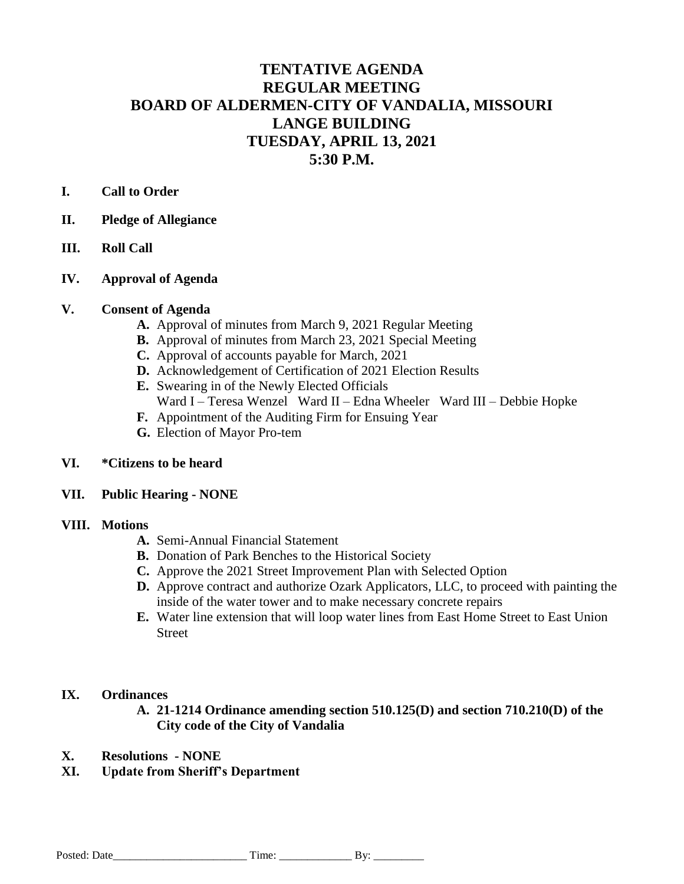# **TENTATIVE AGENDA REGULAR MEETING BOARD OF ALDERMEN-CITY OF VANDALIA, MISSOURI LANGE BUILDING TUESDAY, APRIL 13, 2021 5:30 P.M.**

# **I. Call to Order**

- **II. Pledge of Allegiance**
- **III. Roll Call**
- **IV. Approval of Agenda**

## **V. Consent of Agenda**

- **A.** Approval of minutes from March 9, 2021 Regular Meeting
- **B.** Approval of minutes from March 23, 2021 Special Meeting
- **C.** Approval of accounts payable for March, 2021
- **D.** Acknowledgement of Certification of 2021 Election Results
- **E.** Swearing in of the Newly Elected Officials
- Ward I Teresa Wenzel Ward II Edna Wheeler Ward III Debbie Hopke
- **F.** Appointment of the Auditing Firm for Ensuing Year
- **G.** Election of Mayor Pro-tem

#### **VI. \*Citizens to be heard**

#### **VII. Public Hearing - NONE**

#### **VIII. Motions**

- **A.** Semi-Annual Financial Statement
- **B.** Donation of Park Benches to the Historical Society
- **C.** Approve the 2021 Street Improvement Plan with Selected Option
- **D.** Approve contract and authorize Ozark Applicators, LLC, to proceed with painting the inside of the water tower and to make necessary concrete repairs
- **E.** Water line extension that will loop water lines from East Home Street to East Union Street

### **IX. Ordinances**

- **A. 21-1214 Ordinance amending section 510.125(D) and section 710.210(D) of the City code of the City of Vandalia**
- **X. Resolutions - NONE**
- **XI. Update from Sheriff's Department**